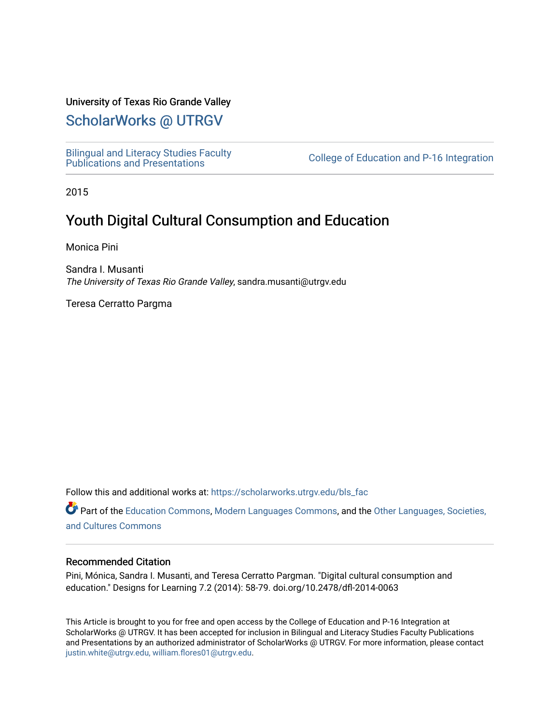### University of Texas Rio Grande Valley

## [ScholarWorks @ UTRGV](https://scholarworks.utrgv.edu/)

[Bilingual and Literacy Studies Faculty](https://scholarworks.utrgv.edu/bls_fac)<br>Publications and Presentations

College of Education and P-16 Integration

2015

## Youth Digital Cultural Consumption and Education

Monica Pini

Sandra I. Musanti The University of Texas Rio Grande Valley, sandra.musanti@utrgv.edu

Teresa Cerratto Pargma

Follow this and additional works at: [https://scholarworks.utrgv.edu/bls\\_fac](https://scholarworks.utrgv.edu/bls_fac?utm_source=scholarworks.utrgv.edu%2Fbls_fac%2F44&utm_medium=PDF&utm_campaign=PDFCoverPages) 

**Part of the [Education Commons](http://network.bepress.com/hgg/discipline/784?utm_source=scholarworks.utrgv.edu%2Fbls_fac%2F44&utm_medium=PDF&utm_campaign=PDFCoverPages), [Modern Languages Commons,](http://network.bepress.com/hgg/discipline/1130?utm_source=scholarworks.utrgv.edu%2Fbls_fac%2F44&utm_medium=PDF&utm_campaign=PDFCoverPages) and the Other Languages, Societies,** [and Cultures Commons](http://network.bepress.com/hgg/discipline/475?utm_source=scholarworks.utrgv.edu%2Fbls_fac%2F44&utm_medium=PDF&utm_campaign=PDFCoverPages) 

#### Recommended Citation

Pini, Mónica, Sandra I. Musanti, and Teresa Cerratto Pargman. "Digital cultural consumption and education." Designs for Learning 7.2 (2014): 58-79. doi.org/10.2478/dfl-2014-0063

This Article is brought to you for free and open access by the College of Education and P-16 Integration at ScholarWorks @ UTRGV. It has been accepted for inclusion in Bilingual and Literacy Studies Faculty Publications and Presentations by an authorized administrator of ScholarWorks @ UTRGV. For more information, please contact [justin.white@utrgv.edu, william.flores01@utrgv.edu](mailto:justin.white@utrgv.edu,%20william.flores01@utrgv.edu).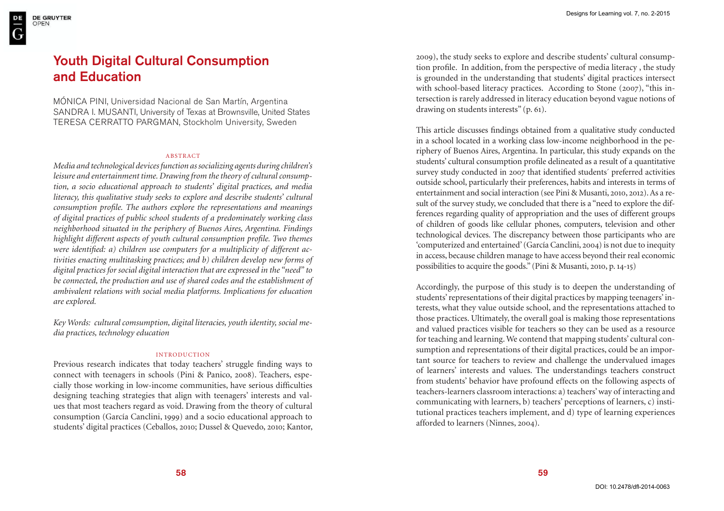# Youth Digital Cultural Consumption and Education

Mónica Pini, Universidad Nacional de San Martín, Argentina SANDRA I. MUSANTI, University of Texas at Brownsville, United States TERESA CERRATTO PARGMAN, Stockholm University, Sweden

#### ABSTRACT

*Media and technological devices function as socializing agents during children's leisure and entertainment time. Drawing from the theory of cultural consumption, a socio educational approach to students' digital practices, and media literacy, this qualitative study seeks to explore and describe students' cultural consumption profile. The authors explore the representations and meanings of digital practices of public school students of a predominately working class neighborhood situated in the periphery of Buenos Aires, Argentina. Findings highlight different aspects of youth cultural consumption profile. Two themes were identified: a) children use computers for a multiplicity of different activities enacting multitasking practices; and b) children develop new forms of digital practices for social digital interaction that are expressed in the "need" to be connected, the production and use of shared codes and the establishment of ambivalent relations with social media platforms. Implications for education are explored.* 

*Key Words: cultural comsumption, digital literacies, youth identity, social media practices, technology education*

#### **INTRODUCTION**

Previous research indicates that today teachers' struggle finding ways to connect with teenagers in schools (Pini & Panico, 2008). Teachers, especially those working in low-income communities, have serious difficulties designing teaching strategies that align with teenagers' interests and values that most teachers regard as void. Drawing from the theory of cultural consumption (García Canclini, 1999) and a socio educational approach to students' digital practices (Ceballos, 2010; Dussel & Quevedo, 2010; Kantor, 2009), the study seeks to explore and describe students' cultural consumption profile. In addition, from the perspective of media literacy , the study is grounded in the understanding that students' digital practices intersect with school-based literacy practices. According to Stone (2007), "this intersection is rarely addressed in literacy education beyond vague notions of drawing on students interests" (p. 61).

This article discusses findings obtained from a qualitative study conducted in a school located in a working class low-income neighborhood in the periphery of Buenos Aires, Argentina. In particular, this study expands on the students' cultural consumption profile delineated as a result of a quantitative survey study conducted in 2007 that identified students´ preferred activities outside school, particularly their preferences, habits and interests in terms of entertainment and social interaction (see Pini & Musanti, 2010, 2012). As a result of the survey study, we concluded that there is a "need to explore the differences regarding quality of appropriation and the uses of different groups of children of goods like cellular phones, computers, television and other technological devices. The discrepancy between those participants who are 'computerized and entertained' (García Canclini, 2004) is not due to inequity in access, because children manage to have access beyond their real economic possibilities to acquire the goods." (Pini & Musanti, 2010, p. 14-15)

Accordingly, the purpose of this study is to deepen the understanding of students' representations of their digital practices by mapping teenagers' interests, what they value outside school, and the representations attached to those practices. Ultimately, the overall goal is making those representations and valued practices visible for teachers so they can be used as a resource for teaching and learning. We contend that mapping students' cultural consumption and representations of their digital practices, could be an important source for teachers to review and challenge the undervalued images of learners' interests and values. The understandings teachers construct from students' behavior have profound effects on the following aspects of teachers-learners classroom interactions: a) teachers' way of interacting and communicating with learners, b) teachers' perceptions of learners, c) institutional practices teachers implement, and d) type of learning experiences afforded to learners (Ninnes, 2004).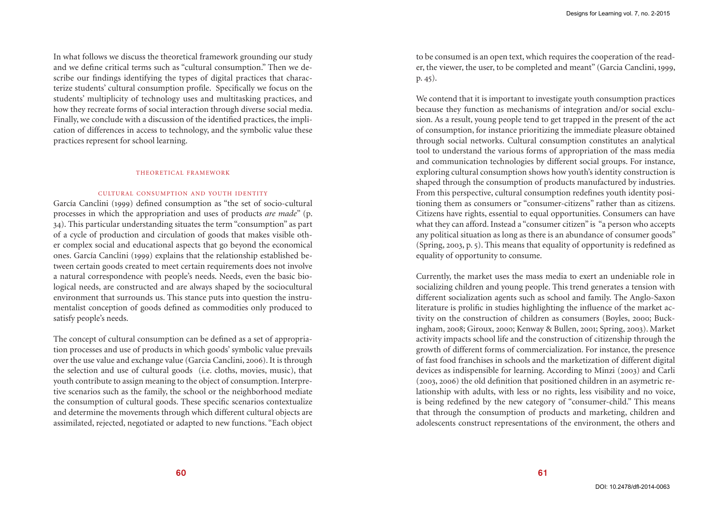In what follows we discuss the theoretical framework grounding our study and we define critical terms such as "cultural consumption." Then we describe our findings identifying the types of digital practices that characterize students' cultural consumption profile. Specifically we focus on the students' multiplicity of technology uses and multitasking practices, and how they recreate forms of social interaction through diverse social media. Finally, we conclude with a discussion of the identified practices, the implication of differences in access to technology, and the symbolic value these practices represent for school learning.

#### theoretical framework

#### cultural consumption and youth identity

García Canclini (1999) defined consumption as "the set of socio-cultural processes in which the appropriation and uses of products *are made*" (p. 34). This particular understanding situates the term "consumption" as part of a cycle of production and circulation of goods that makes visible other complex social and educational aspects that go beyond the economical ones. García Canclini (1999) explains that the relationship established between certain goods created to meet certain requirements does not involve a natural correspondence with people's needs. Needs, even the basic biological needs, are constructed and are always shaped by the sociocultural environment that surrounds us. This stance puts into question the instrumentalist conception of goods defined as commodities only produced to satisfy people's needs.

The concept of cultural consumption can be defined as a set of appropriation processes and use of products in which goods' symbolic value prevails over the use value and exchange value (Garcia Canclini, 2006). It is through the selection and use of cultural goods (i.e. cloths, movies, music), that youth contribute to assign meaning to the object of consumption. Interpretive scenarios such as the family, the school or the neighborhood mediate the consumption of cultural goods. These specific scenarios contextualize and determine the movements through which different cultural objects are assimilated, rejected, negotiated or adapted to new functions. "Each object

to be consumed is an open text, which requires the cooperation of the reader, the viewer, the user, to be completed and meant" (Garcia Canclini, 1999, p. 45).

We contend that it is important to investigate youth consumption practices because they function as mechanisms of integration and/or social exclusion. As a result, young people tend to get trapped in the present of the act of consumption, for instance prioritizing the immediate pleasure obtained through social networks. Cultural consumption constitutes an analytical tool to understand the various forms of appropriation of the mass media and communication technologies by different social groups. For instance, exploring cultural consumption shows how youth's identity construction is shaped through the consumption of products manufactured by industries. From this perspective, cultural consumption redefines youth identity positioning them as consumers or "consumer-citizens" rather than as citizens. Citizens have rights, essential to equal opportunities. Consumers can have what they can afford. Instead a "consumer citizen" is "a person who accepts any political situation as long as there is an abundance of consumer goods" (Spring, 2003, p. 5). This means that equality of opportunity is redefined as equality of opportunity to consume.

Currently, the market uses the mass media to exert an undeniable role in socializing children and young people. This trend generates a tension with different socialization agents such as school and family. The Anglo-Saxon literature is prolific in studies highlighting the influence of the market activity on the construction of children as consumers (Boyles, 2000; Buckingham, 2008; Giroux, 2000; Kenway & Bullen, 2001; Spring, 2003). Market activity impacts school life and the construction of citizenship through the growth of different forms of commercialization. For instance, the presence of fast food franchises in schools and the marketization of different digital devices as indispensible for learning. According to Minzi (2003) and Carli (2003, 2006) the old definition that positioned children in an asymetric relationship with adults, with less or no rights, less visibility and no voice, is being redefined by the new category of "consumer-child." This means that through the consumption of products and marketing, children and adolescents construct representations of the environment, the others and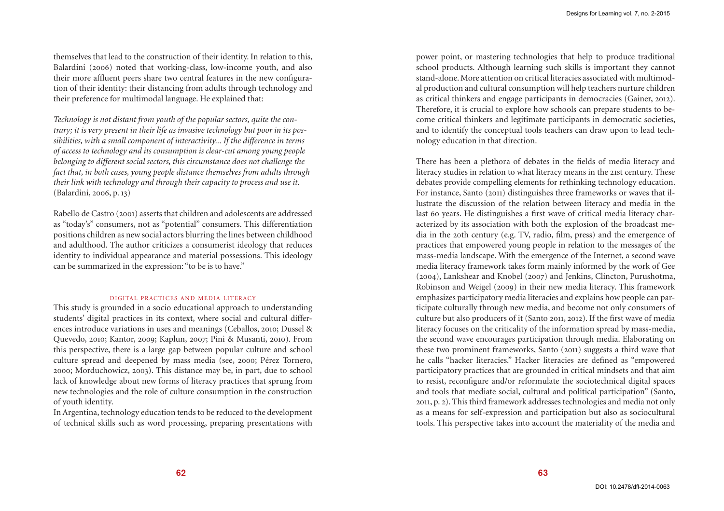themselves that lead to the construction of their identity. In relation to this, Balardini (2006) noted that working-class, low-income youth, and also their more affluent peers share two central features in the new configuration of their identity: their distancing from adults through technology and their preference for multimodal language. He explained that:

*Technology is not distant from youth of the popular sectors, quite the contrary; it is very present in their life as invasive technology but poor in its possibilities, with a small component of interactivity... If the difference in terms of access to technology and its consumption is clear-cut among young people belonging to different social sectors, this circumstance does not challenge the fact that, in both cases, young people distance themselves from adults through their link with technology and through their capacity to process and use it.* (Balardini, 2006, p. 13)

Rabello de Castro (2001) asserts that children and adolescents are addressed as "today's" consumers, not as "potential" consumers. This differentiation positions children as new social actors blurring the lines between childhood and adulthood. The author criticizes a consumerist ideology that reduces identity to individual appearance and material possessions. This ideology can be summarized in the expression: "to be is to have."

#### digital practices and media literacy

This study is grounded in a socio educational approach to understanding students' digital practices in its context, where social and cultural differences introduce variations in uses and meanings (Ceballos, 2010; Dussel & Quevedo, 2010; Kantor, 2009; Kaplun, 2007; Pini & Musanti, 2010). From this perspective, there is a large gap between popular culture and school culture spread and deepened by mass media (see, 2000; Pérez Tornero, 2000; Morduchowicz, 2003). This distance may be, in part, due to school lack of knowledge about new forms of literacy practices that sprung from new technologies and the role of culture consumption in the construction of youth identity.

In Argentina, technology education tends to be reduced to the development of technical skills such as word processing, preparing presentations with

power point, or mastering technologies that help to produce traditional school products. Although learning such skills is important they cannot stand-alone. More attention on critical literacies associated with multimodal production and cultural consumption will help teachers nurture children as critical thinkers and engage participants in democracies (Gainer, 2012). Therefore, it is crucial to explore how schools can prepare students to become critical thinkers and legitimate participants in democratic societies, and to identify the conceptual tools teachers can draw upon to lead technology education in that direction.

There has been a plethora of debates in the fields of media literacy and literacy studies in relation to what literacy means in the 21st century. These debates provide compelling elements for rethinking technology education. For instance, Santo (2011) distinguishes three frameworks or waves that illustrate the discussion of the relation between literacy and media in the last 60 years. He distinguishes a first wave of critical media literacy characterized by its association with both the explosion of the broadcast media in the 20th century (e.g. TV, radio, film, press) and the emergence of practices that empowered young people in relation to the messages of the mass-media landscape. With the emergence of the Internet, a second wave media literacy framework takes form mainly informed by the work of Gee (2004), Lankshear and Knobel (2007) and Jenkins, Clincton, Purushotma, Robinson and Weigel (2009) in their new media literacy. This framework emphasizes participatory media literacies and explains how people can participate culturally through new media, and become not only consumers of culture but also producers of it (Santo 2011, 2012). If the first wave of media literacy focuses on the criticality of the information spread by mass-media, the second wave encourages participation through media. Elaborating on these two prominent frameworks, Santo (2011) suggests a third wave that he calls "hacker literacies." Hacker literacies are defined as "empowered participatory practices that are grounded in critical mindsets and that aim to resist, reconfigure and/or reformulate the sociotechnical digital spaces and tools that mediate social, cultural and political participation" (Santo, 2011, p. 2). This third framework addresses technologies and media not only as a means for self-expression and participation but also as sociocultural tools. This perspective takes into account the materiality of the media and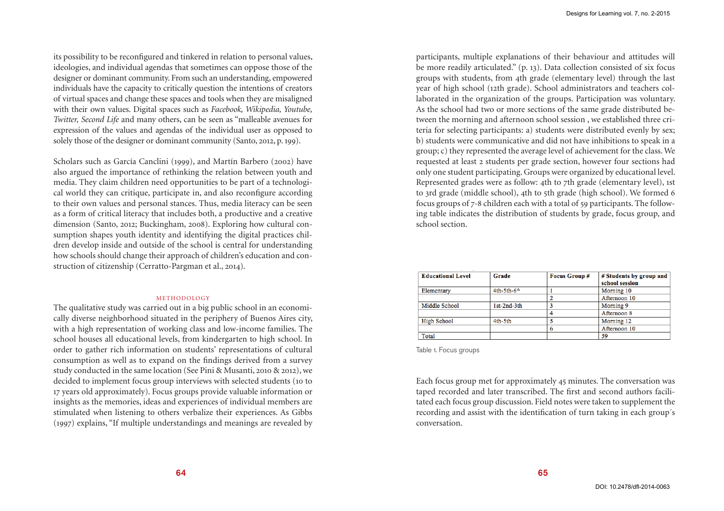its possibility to be reconfigured and tinkered in relation to personal values, ideologies, and individual agendas that sometimes can oppose those of the designer or dominant community. From such an understanding, empowered individuals have the capacity to critically question the intentions of creators of virtual spaces and change these spaces and tools when they are misaligned with their own values. Digital spaces such as *Facebook, Wikipedia, Youtube, Twitter, Second Life* and many others, can be seen as "malleable avenues for expression of the values and agendas of the individual user as opposed to solely those of the designer or dominant community (Santo, 2012, p. 199).

Scholars such as García Canclini (1999), and Martín Barbero (2002) have also argued the importance of rethinking the relation between youth and media. They claim children need opportunities to be part of a technological world they can critique, participate in, and also reconfigure according to their own values and personal stances. Thus, media literacy can be seen as a form of critical literacy that includes both, a productive and a creative dimension (Santo, 2012; Buckingham, 2008). Exploring how cultural consumption shapes youth identity and identifying the digital practices children develop inside and outside of the school is central for understanding how schools should change their approach of children's education and construction of citizenship (Cerratto-Pargman et al., 2014).

#### **METHODOLOGY**

The qualitative study was carried out in a big public school in an economically diverse neighborhood situated in the periphery of Buenos Aires city, with a high representation of working class and low-income families. The school houses all educational levels, from kindergarten to high school. In order to gather rich information on students' representations of cultural consumption as well as to expand on the findings derived from a survey study conducted in the same location (See Pini & Musanti, 2010 & 2012), we decided to implement focus group interviews with selected students (10 to 17 years old approximately). Focus groups provide valuable information or insights as the memories, ideas and experiences of individual members are stimulated when listening to others verbalize their experiences. As Gibbs (1997) explains, "If multiple understandings and meanings are revealed by

participants, multiple explanations of their behaviour and attitudes will be more readily articulated." (p. 13). Data collection consisted of six focus groups with students, from 4th grade (elementary level) through the last year of high school (12th grade). School administrators and teachers collaborated in the organization of the groups. Participation was voluntary. As the school had two or more sections of the same grade distributed between the morning and afternoon school session , we established three criteria for selecting participants: a) students were distributed evenly by sex; b) students were communicative and did not have inhibitions to speak in a group; c) they represented the average level of achievement for the class. We requested at least 2 students per grade section, however four sections had only one student participating. Groups were organized by educational level. Represented grades were as follow: 4th to 7th grade (elementary level), 1st to 3rd grade (middle school), 4th to 5th grade (high school). We formed 6 focus groups of 7-8 children each with a total of 59 participants. The following table indicates the distribution of students by grade, focus group, and school section.

| <b>Educational Level</b> | Grade         | <b>Focus Group #</b> | # Students by group and<br>school session |
|--------------------------|---------------|----------------------|-------------------------------------------|
| Elementary               | 4th-5th-6th   |                      | Morning 10                                |
|                          |               |                      | Afternoon 10                              |
| Middle School            | $1st-2nd-3th$ |                      | Morning 9                                 |
|                          |               |                      | Afternoon 8                               |
| High School              | 4th-5th       |                      | Morning 12                                |
|                          |               |                      | Afternoon 10                              |
| Total                    |               |                      | 59                                        |

Table 1. Focus groups

Each focus group met for approximately 45 minutes. The conversation was taped recorded and later transcribed. The first and second authors facilitated each focus group discussion. Field notes were taken to supplement the recording and assist with the identification of turn taking in each group´s conversation.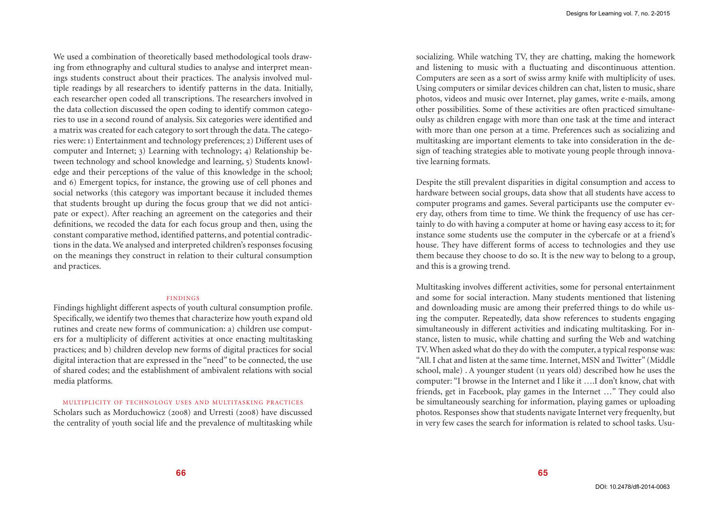We used a combination of theoretically based methodological tools drawing from ethnography and cultural studies to analyse and interpret meanings students construct about their practices. The analysis involved multiple readings by all researchers to identify patterns in the data. Initially, each researcher open coded all transcriptions. The researchers involved in the data collection discussed the open coding to identify common categories to use in a second round of analysis. Six categories were identified and a matrix was created for each category to sort through the data. The categories were: 1) Entertainment and technology preferences; 2) Different uses of computer and Internet; 3) Learning with technology; 4) Relationship between technology and school knowledge and learning, 5) Students knowledge and their perceptions of the value of this knowledge in the school; and 6) Emergent topics, for instance, the growing use of cell phones and social networks (this category was important because it included themes that students brought up during the focus group that we did not anticipate or expect). After reaching an agreement on the categories and their definitions, we recoded the data for each focus group and then, using the constant comparative method, identified patterns, and potential contradictions in the data. We analysed and interpreted children's responses focusing on the meanings they construct in relation to their cultural consumption and practices.

#### findings

Findings highlight different aspects of youth cultural consumption profile. Specifically, we identify two themes that characterize how youth expand old rutines and create new forms of communication: a) children use computers for a multiplicity of different activities at once enacting multitasking practices; and b) children develop new forms of digital practices for social digital interaction that are expressed in the "need" to be connected, the use of shared codes; and the establishment of ambivalent relations with social media platforms.

multiplicity of technolo gy uses and multitasking practices

Scholars such as Morduchowicz (2008) and Urresti (2008) have discussed the centrality of youth social life and the prevalence of multitasking while

socializing. While watching TV, they are chatting, making the homework and listening to music with a fluctuating and discontinuous attention. Computers are seen as a sort of swiss army knife with multiplicity of uses. Using computers or similar devices children can chat, listen to music, share photos, videos and music over Internet, play games, write e-mails, among other possibilities. Some of these activities are often practiced simultaneoulsy as children engage with more than one task at the time and interact with more than one person at a time. Preferences such as socializing and multitasking are important elements to take into consideration in the design of teaching strategies able to motivate young people through innovative learning formats.

Despite the still prevalent disparities in digital consumption and access to hardware between social groups, data show that all students have access to computer programs and games. Several participants use the computer every day, others from time to time. We think the frequency of use has certainly to do with having a computer at home or having easy access to it; for instance some students use the computer in the cybercafe or at a friend's house. They have different forms of access to technologies and they use them because they choose to do so. It is the new way to belong to a group, and this is a growing trend.

Multitasking involves different activities, some for personal entertainment and some for social interaction. Many students mentioned that listening and downloading music are among their preferred things to do while using the computer. Repeatedly, data show references to students engaging simultaneously in different activities and indicating multitasking. For instance, listen to music, while chatting and surfing the Web and watching TV. When asked what do they do with the computer, a typical response was: "All. I chat and listen at the same time. Internet, MSN and Twitter" (Middle school, male) . A younger student (11 years old) described how he uses the computer: "I browse in the Internet and I like it ….I don't know, chat with friends, get in Facebook, play games in the Internet …" They could also be simultaneously searching for information, playing games or uploading photos. Responses show that students navigate Internet very frequenlty, but in very few cases the search for information is related to school tasks. Usu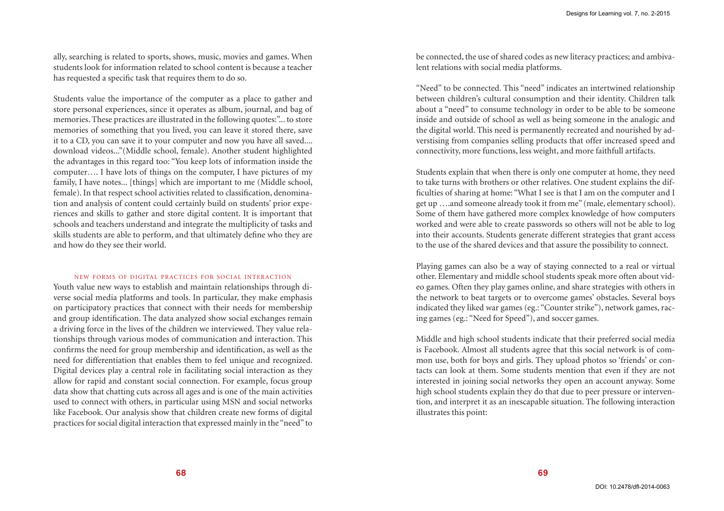ally, searching is related to sports, shows, music, movies and games. When students look for information related to school content is because a teacher has requested a specific task that requires them to do so.

Students value the importance of the computer as a place to gather and store personal experiences, since it operates as album, journal, and bag of memories. These practices are illustrated in the following quotes:"... to store memories of something that you lived, you can leave it stored there, save it to a CD, you can save it to your computer and now you have all saved.... download videos..."(Middle school, female). Another student highlighted the advantages in this regard too: "You keep lots of information inside the computer…. I have lots of things on the computer, I have pictures of my family, I have notes... [things] which are important to me (Middle school, female). In that respect school activities related to classification, denomination and analysis of content could certainly build on students' prior experiences and skills to gather and store digital content. It is important that schools and teachers understand and integrate the multiplicity of tasks and skills students are able to perform, and that ultimately define who they are and how do they see their world.

#### NEW FORMS OF DIGITAL PRACTICES FOR SOCIAL INTERACTION

Youth value new ways to establish and maintain relationships through diverse social media platforms and tools. In particular, they make emphasis on participatory practices that connect with their needs for membership and group identification. The data analyzed show social exchanges remain a driving force in the lives of the children we interviewed. They value relationships through various modes of communication and interaction. This confirms the need for group membership and identification, as well as the need for differentiation that enables them to feel unique and recognized. Digital devices play a central role in facilitating social interaction as they allow for rapid and constant social connection. For example, focus group data show that chatting cuts across all ages and is one of the main activities used to connect with others, in particular using MSN and social networks like Facebook. Our analysis show that children create new forms of digital practices for social digital interaction that expressed mainly in the "need" to

be connected, the use of shared codes as new literacy practices; and ambivalent relations with social media platforms.

"Need" to be connected. This "need" indicates an intertwined relationship between children's cultural consumption and their identity. Children talk about a "need" to consume technology in order to be able to be someone inside and outside of school as well as being someone in the analogic and the digital world. This need is permanently recreated and nourished by adverstising from companies selling products that offer increased speed and connectivity, more functions, less weight, and more faithfull artifacts.

Students explain that when there is only one computer at home, they need to take turns with brothers or other relatives. One student explains the difficulties of sharing at home: "What I see is that I am on the computer and I get up ….and someone already took it from me" (male, elementary school). Some of them have gathered more complex knowledge of how computers worked and were able to create passwords so others will not be able to log into their accounts. Students generate different strategies that grant access to the use of the shared devices and that assure the possibility to connect.

Playing games can also be a way of staying connected to a real or virtual other. Elementary and middle school students speak more often about video games. Often they play games online, and share strategies with others in the network to beat targets or to overcome games' obstacles. Several boys indicated they liked war games (eg.: "Counter strike"), network games, racing games (eg.: "Need for Speed"), and soccer games.

Middle and high school students indicate that their preferred social media is Facebook. Almost all students agree that this social network is of common use, both for boys and girls. They upload photos so 'friends' or contacts can look at them. Some students mention that even if they are not interested in joining social networks they open an account anyway. Some high school students explain they do that due to peer pressure or intervention, and interpret it as an inescapable situation. The following interaction illustrates this point: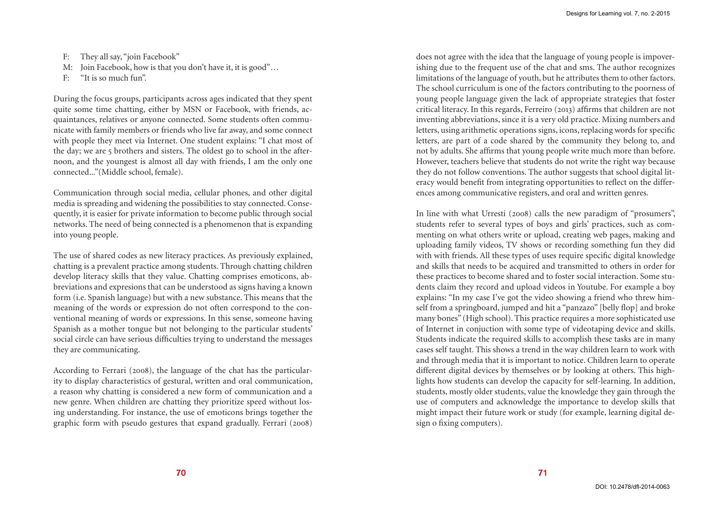- F: They all say, "join Facebook"
- M: Join Facebook, how is that you don't have it, it is good"...
- F: "It is so much fun".

During the focus groups, participants across ages indicated that they spent quite some time chatting, either by MSN or Facebook, with friends, acquaintances, relatives or anyone connected. Some students often communicate with family members or friends who live far away, and some connect with people they meet via Internet. One student explains: "I chat most of the day; we are 5 brothers and sisters. The oldest go to school in the afternoon, and the youngest is almost all day with friends, I am the only one connected..."(Middle school, female).

Communication through social media, cellular phones, and other digital media is spreading and widening the possibilities to stay connected. Consequently, it is easier for private information to become public through social networks. The need of being connected is a phenomenon that is expanding into young people.

The use of shared codes as new literacy practices. As previously explained, chatting is a prevalent practice among students. Through chatting children develop literacy skills that they value. Chatting comprises emoticons, abbreviations and expresions that can be understood as signs having a known form (i.e. Spanish language) but with a new substance. This means that the meaning of the words or expression do not often correspond to the conventional meaning of words or expressions. In this sense, someone having Spanish as a mother tongue but not belonging to the particular students' social circle can have serious difficulties trying to understand the messages they are communicating.

According to Ferrari (2008), the language of the chat has the particularity to display characteristics of gestural, written and oral communication, a reason why chatting is considered a new form of communication and a new genre. When children are chatting they prioritize speed without losing understanding. For instance, the use of emoticons brings together the graphic form with pseudo gestures that expand gradually. Ferrari (2008)

does not agree with the idea that the language of young people is impoverishing due to the frequent use of the chat and sms. The author recognizes limitations of the language of youth, but he attributes them to other factors. The school curriculum is one of the factors contributing to the poorness of young people language given the lack of appropriate strategies that foster critical literacy. In this regards, Ferreiro (2013) affirms that children are not inventing abbreviations, since it is a very old practice. Mixing numbers and letters, using arithmetic operations signs, icons, replacing words for specific letters, are part of a code shared by the community they belong to, and not by adults. She affirms that young people write much more than before. However, teachers believe that students do not write the right way because they do not follow conventions. The author suggests that school digital literacy would benefit from integrating opportunities to reflect on the differences among communicative registers, and oral and written genres.

In line with what Urresti (2008) calls the new paradigm of "prosumers", students refer to several types of boys and girls' practices, such as commenting on what others write or upload, creating web pages, making and uploading family videos, TV shows or recording something fun they did with with friends. All these types of uses require specific digital knowledge and skills that needs to be acquired and transmitted to others in order for these practices to become shared and to foster social interaction. Some students claim they record and upload videos in Youtube. For example a boy explains: "In my case I've got the video showing a friend who threw himself from a springboard, jumped and hit a "panzazo" [belly flop] and broke many bones" (High school). This practice requires a more sophisticated use of Internet in conjuction with some type of videotaping device and skills. Students indicate the required skills to accomplish these tasks are in many cases self taught. This shows a trend in the way children learn to work with and through media that it is important to notice. Children learn to operate different digital devices by themselves or by looking at others. This highlights how students can develop the capacity for self-learning. In addition, students, mostly older students, value the knowledge they gain through the use of computers and acknowledge the importance to develop skills that might impact their future work or study (for example, learning digital design o fixing computers).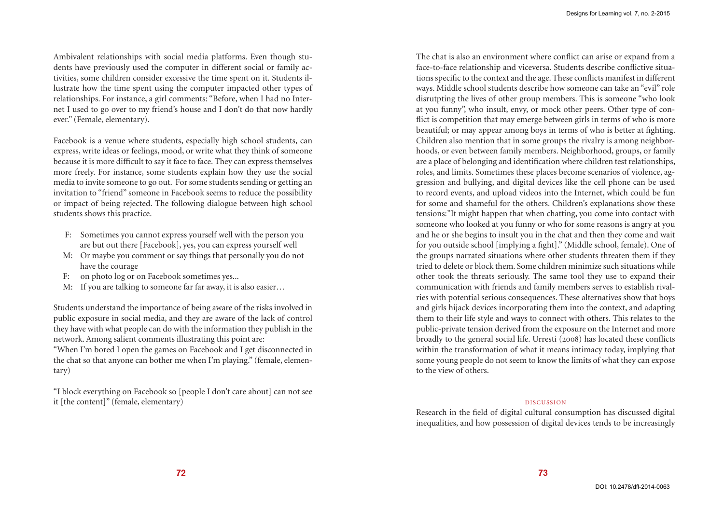Ambivalent relationships with social media platforms. Even though students have previously used the computer in different social or family activities, some children consider excessive the time spent on it. Students illustrate how the time spent using the computer impacted other types of relationships. For instance, a girl comments: "Before, when I had no Internet I used to go over to my friend's house and I don't do that now hardly ever." (Female, elementary).

Facebook is a venue where students, especially high school students, can express, write ideas or feelings, mood, or write what they think of someone because it is more difficult to say it face to face. They can express themselves more freely. For instance, some students explain how they use the social media to invite someone to go out. For some students sending or getting an invitation to "friend" someone in Facebook seems to reduce the possibility or impact of being rejected. The following dialogue between high school students shows this practice.

- F: Sometimes you cannot express yourself well with the person you are but out there [Facebook], yes, you can express yourself well
- M: Or maybe you comment or say things that personally you do not have the courage
- F: on photo log or on Facebook sometimes yes...
- M: If you are talking to someone far far away, it is also easier…

Students understand the importance of being aware of the risks involved in public exposure in social media, and they are aware of the lack of control they have with what people can do with the information they publish in the network. Among salient comments illustrating this point are:

"When I'm bored I open the games on Facebook and I get disconnected in the chat so that anyone can bother me when I'm playing." (female, elementary)

"I block everything on Facebook so [people I don't care about] can not see it [the content]" (female, elementary)

The chat is also an environment where conflict can arise or expand from a face-to-face relationship and viceversa. Students describe conflictive situations specific to the context and the age. These conflicts manifest in different ways. Middle school students describe how someone can take an "evil" role disrutpting the lives of other group members. This is someone "who look at you funny", who insult, envy, or mock other peers. Other type of conflict is competition that may emerge between girls in terms of who is more beautiful; or may appear among boys in terms of who is better at fighting. Children also mention that in some groups the rivalry is among neighborhoods, or even between family members. Neighborhood, groups, or family are a place of belonging and identification where children test relationships, roles, and limits. Sometimes these places become scenarios of violence, aggression and bullying, and digital devices like the cell phone can be used to record events, and upload videos into the Internet, which could be fun for some and shameful for the others. Children's explanations show these tensions:"It might happen that when chatting, you come into contact with someone who looked at you funny or who for some reasons is angry at you and he or she begins to insult you in the chat and then they come and wait for you outside school [implying a fight]." (Middle school, female). One of the groups narrated situations where other students threaten them if they tried to delete or block them. Some children minimize such situations while other took the threats seriously. The same tool they use to expand their communication with friends and family members serves to establish rivalries with potential serious consequences. These alternatives show that boys and girls hijack devices incorporating them into the context, and adapting them to their life style and ways to connect with others. This relates to the public-private tension derived from the exposure on the Internet and more broadly to the general social life. Urresti (2008) has located these conflicts within the transformation of what it means intimacy today, implying that some young people do not seem to know the limits of what they can expose to the view of others.

#### discussion

Research in the field of digital cultural consumption has discussed digital inequalities, and how possession of digital devices tends to be increasingly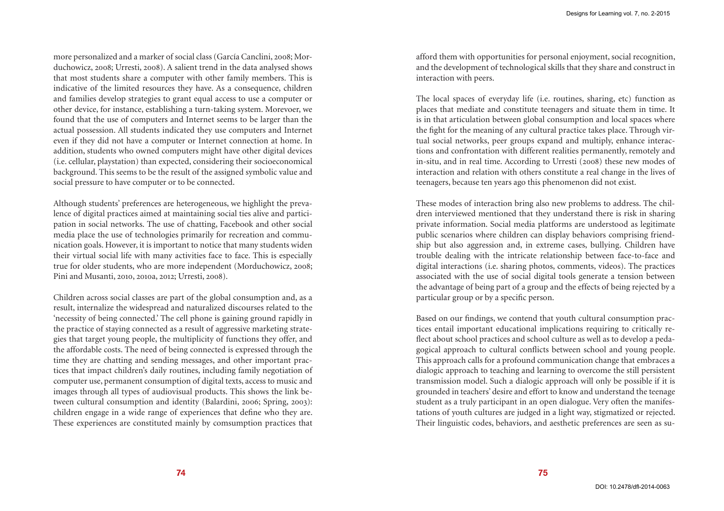more personalized and a marker of social class (García Canclini, 2008; Morduchowicz, 2008; Urresti, 2008). A salient trend in the data analysed shows that most students share a computer with other family members. This is indicative of the limited resources they have. As a consequence, children and families develop strategies to grant equal access to use a computer or other device, for instance, establishing a turn-taking system. Morevoer, we found that the use of computers and Internet seems to be larger than the actual possession. All students indicated they use computers and Internet even if they did not have a computer or Internet connection at home. In addition, students who owned computers might have other digital devices (i.e. cellular, playstation) than expected, considering their socioeconomical background. This seems to be the result of the assigned symbolic value and social pressure to have computer or to be connected.

Although students' preferences are heterogeneous, we highlight the prevalence of digital practices aimed at maintaining social ties alive and participation in social networks. The use of chatting, Facebook and other social media place the use of technologies primarily for recreation and communication goals. However, it is important to notice that many students widen their virtual social life with many activities face to face. This is especially true for older students, who are more independent (Morduchowicz, 2008; Pini and Musanti, 2010, 2010a, 2012; Urresti, 2008).

Children across social classes are part of the global consumption and, as a result, internalize the widespread and naturalized discourses related to the 'necessity of being connected.' The cell phone is gaining ground rapidly in the practice of staying connected as a result of aggressive marketing strategies that target young people, the multiplicity of functions they offer, and the affordable costs. The need of being connected is expressed through the time they are chatting and sending messages, and other important practices that impact children's daily routines, including family negotiation of computer use, permanent consumption of digital texts, access to music and images through all types of audiovisual products. This shows the link between cultural consumption and identity (Balardini, 2006; Spring, 2003): children engage in a wide range of experiences that define who they are. These experiences are constituted mainly by comsumption practices that

afford them with opportunities for personal enjoyment, social recognition, and the development of technological skills that they share and construct in interaction with peers.

The local spaces of everyday life (i.e. routines, sharing, etc) function as places that mediate and constitute teenagers and situate them in time. It is in that articulation between global consumption and local spaces where the fight for the meaning of any cultural practice takes place. Through virtual social networks, peer groups expand and multiply, enhance interactions and confrontation with different realities permanently, remotely and in-situ, and in real time. According to Urresti (2008) these new modes of interaction and relation with others constitute a real change in the lives of teenagers, because ten years ago this phenomenon did not exist.

These modes of interaction bring also new problems to address. The children interviewed mentioned that they understand there is risk in sharing private information. Social media platforms are understood as legitimate public scenarios where children can display behaviors comprising friendship but also aggression and, in extreme cases, bullying. Children have trouble dealing with the intricate relationship between face-to-face and digital interactions (i.e. sharing photos, comments, videos). The practices associated with the use of social digital tools generate a tension between the advantage of being part of a group and the effects of being rejected by a particular group or by a specific person.

Based on our findings, we contend that youth cultural consumption practices entail important educational implications requiring to critically reflect about school practices and school culture as well as to develop a pedagogical approach to cultural conflicts between school and young people. This approach calls for a profound communication change that embraces a dialogic approach to teaching and learning to overcome the still persistent transmission model. Such a dialogic approach will only be possible if it is grounded in teachers' desire and effort to know and understand the teenage student as a truly participant in an open dialogue. Very often the manifestations of youth cultures are judged in a light way, stigmatized or rejected. Their linguistic codes, behaviors, and aesthetic preferences are seen as su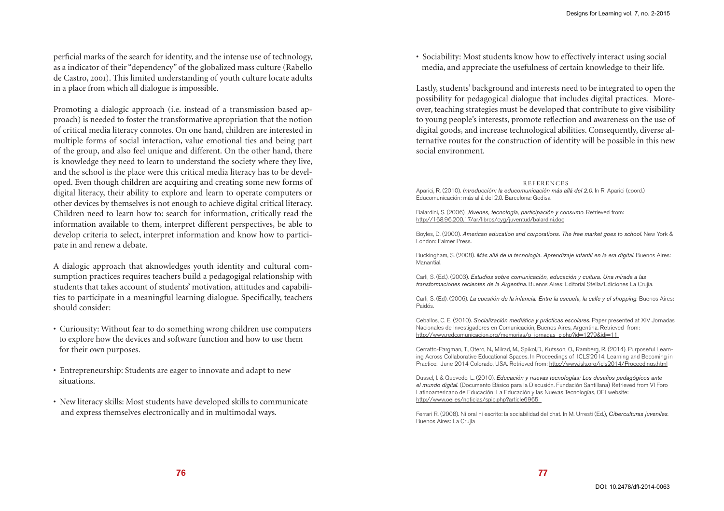perficial marks of the search for identity, and the intense use of technology, as a indicator of their "dependency" of the globalized mass culture (Rabello de Castro, 2001). This limited understanding of youth culture locate adults in a place from which all dialogue is impossible.

Promoting a dialogic approach (i.e. instead of a transmission based approach) is needed to foster the transformative apropriation that the notion of critical media literacy connotes. On one hand, children are interested in multiple forms of social interaction, value emotional ties and being part of the group, and also feel unique and different. On the other hand, there is knowledge they need to learn to understand the society where they live, and the school is the place were this critical media literacy has to be developed. Even though children are acquiring and creating some new forms of digital literacy, their ability to explore and learn to operate computers or other devices by themselves is not enough to achieve digital critical literacy. Children need to learn how to: search for information, critically read the information available to them, interpret different perspectives, be able to develop criteria to select, interpret information and know how to participate in and renew a debate.

A dialogic approach that aknowledges youth identity and cultural comsumption practices requires teachers build a pedagogigal relationship with students that takes account of students' motivation, attitudes and capabilities to participate in a meaningful learning dialogue. Specifically, teachers should consider:

- Curiousity: Without fear to do something wrong children use computers to explore how the devices and software function and how to use them for their own purposes.
- Entrepreneurship: Students are eager to innovate and adapt to new situations.
- New literacy skills: Most students have developed skills to communicate and express themselves electronically and in multimodal ways.

• Sociability: Most students know how to effectively interact using social media, and appreciate the usefulness of certain knowledge to their life.

Lastly, students' background and interests need to be integrated to open the possibility for pedagogical dialogue that includes digital practices. Moreover, teaching strategies must be developed that contribute to give visibility to young people's interests, promote reflection and awareness on the use of digital goods, and increase technological abilities. Consequently, diverse alternative routes for the construction of identity will be possible in this new social environment.

#### **REFERENCES**

Aparici, R. (2010). *Introducción: la educomunicación más allá del 2.0*. In R. Aparici (coord.) Educomunicación: más allá del 2.0. Barcelona: Gedisa.

Balardini, S. (2006). *Jóvenes, tecnología, participación y consumo*. Retrieved from: http://168.96.200.17/ar/libros/cyg/juventud/balardini.doc

Boyles, D. (2000). *American education and corporations. The free market goes to school*. New York & London: Falmer Press.

Buckingham, S. (2008). *Más allá de la tecnología. Aprendizaje infantil en la era digital*. Buenos Aires: Manantial.

Carli, S. (Ed.). (2003). *Estudios sobre comunicación, educación y cultura. Una mirada a las transformaciones recientes de la Argentina*. Buenos Aires: Editorial Stella/Ediciones La Crujía.

Carli, S. (Ed). (2006). *La cuestión de la infancia. Entre la escuela, la calle y el shopping*. Buenos Aires: Paidós.

Ceballos, C. E. (2010). *Socialización mediática y prácticas escolares*. Paper presented at XIV Jornadas Nacionales de Investigadores en Comunicación, Buenos Aires, Argentina. Retrieved from: http://www.redcomunicacion.org/memorias/p\_jornadas\_p.php?id=1279&idj=11

Cerratto-Pargman, T., Otero, N., Milrad, M., Spikol,D., Kutsson, O., Ramberg, R. (2014). Purposeful Learning Across Collaborative Educational Spaces. In Proceedings of ICLS'2014, Learning and Becoming in Practice. June 2014 Colorado, USA. Retrieved from: http://www.isls.org/icls2014/Proceedings.html

Dussel, I. & Quevedo, L. (2010). *Educación y nuevas tecnologías: Los desafíos pedagógicos ante el mundo digital*. (Documento Básico para la Discusión. Fundación Santillana) Retrieved from VI Foro Latinoamericano de Educación: La Educación y las Nuevas Tecnologías, OEI website: http://www.oei.es/noticias/spip.php?article6965

Ferrari R. (2008). Ni oral ni escrito: la sociabilidad del chat. In M. Urresti (Ed.), *Ciberculturas juveniles*. Buenos Aires: La Crujía